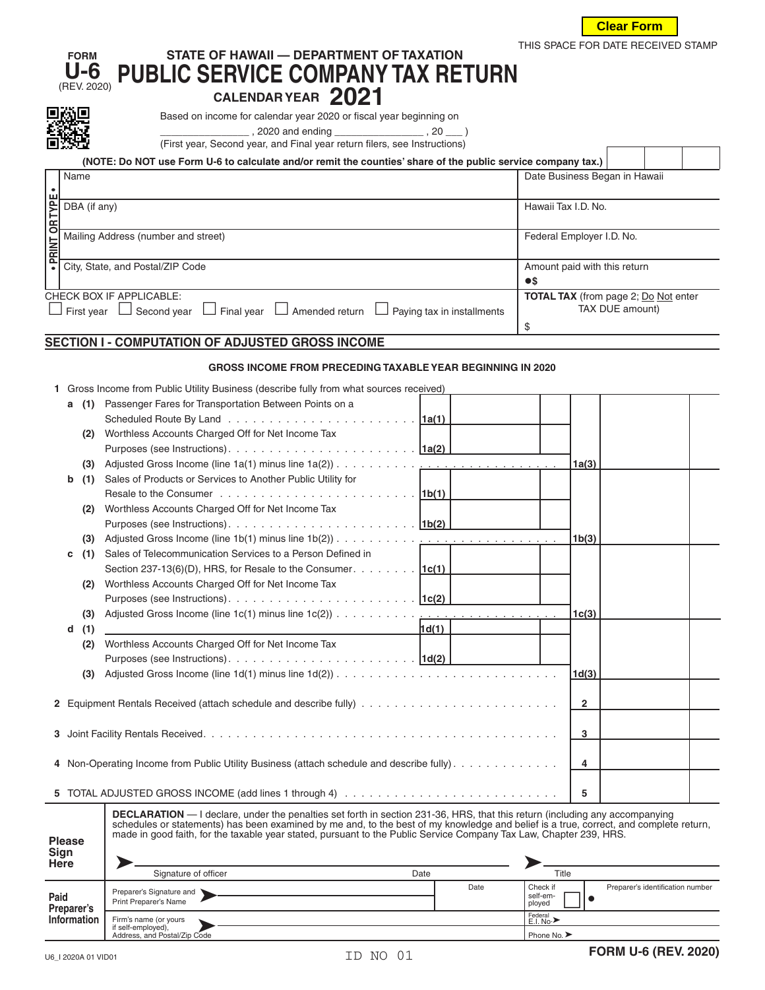

THIS SPACE FOR DATE RECEIVED STAMP

 $\Gamma$ 

Τ

## **FORM STATE OF HAWAII — DEPARTMENT OF TAXATION U-6** (REV. 2020) **PUBLIC SERVICE COMPANY TAX RETURN**

**①巴**<br>**Based on income for calendar year 2020 or fiscal year beginning on** 

 $\frac{1}{2}$ , 2020 and ending \_\_\_\_\_\_\_\_\_\_\_\_\_\_\_\_\_\_\_\_, 20 \_\_\_ )

(First year, Second year, and Final year return filers, see Instructions)

|                      | (NOTE: Do NOT use Form U-6 to calculate and/or remit the counties' share of the public service company tax.)     |                                             |  |  |  |  |  |  |
|----------------------|------------------------------------------------------------------------------------------------------------------|---------------------------------------------|--|--|--|--|--|--|
|                      | Name                                                                                                             | Date Business Began in Hawaii               |  |  |  |  |  |  |
|                      |                                                                                                                  |                                             |  |  |  |  |  |  |
|                      | DBA (if any)                                                                                                     | Hawaii Tax I.D. No.                         |  |  |  |  |  |  |
|                      |                                                                                                                  |                                             |  |  |  |  |  |  |
| <b>PRINT OR TYPE</b> | Mailing Address (number and street)                                                                              | Federal Employer I.D. No.                   |  |  |  |  |  |  |
|                      |                                                                                                                  |                                             |  |  |  |  |  |  |
|                      | City, State, and Postal/ZIP Code                                                                                 | Amount paid with this return                |  |  |  |  |  |  |
|                      |                                                                                                                  | $\bullet$                                   |  |  |  |  |  |  |
|                      | <b>CHECK BOX IF APPLICABLE:</b>                                                                                  | <b>TOTAL TAX</b> (from page 2; Do Not enter |  |  |  |  |  |  |
|                      | $\Box$ Final year $\Box$ Amended return<br>$\Box$ Paving tax in installments<br>Second vear<br>$\Box$ First vear | TAX DUE amount)                             |  |  |  |  |  |  |
|                      |                                                                                                                  | \$                                          |  |  |  |  |  |  |

## **SECTION I - COMPUTATION OF ADJUSTED GROSS INCOME**

## **GROSS INCOME FROM PRECEDING TAXABLE YEAR BEGINNING IN 2020**

| 1 Gross Income from Public Utility Business (describe fully from what sources received) |  |  |  |
|-----------------------------------------------------------------------------------------|--|--|--|
|                                                                                         |  |  |  |
|                                                                                         |  |  |  |

|                       | DBA (if any)                        |                                                                                                                                                                                                                                                                                                                                                                                                   |                                       |                              | Hawaii Tax I.D. No.       |                                             |  |  |
|-----------------------|-------------------------------------|---------------------------------------------------------------------------------------------------------------------------------------------------------------------------------------------------------------------------------------------------------------------------------------------------------------------------------------------------------------------------------------------------|---------------------------------------|------------------------------|---------------------------|---------------------------------------------|--|--|
| · PRINT OR TYPE       | Mailing Address (number and street) |                                                                                                                                                                                                                                                                                                                                                                                                   |                                       |                              | Federal Employer I.D. No. |                                             |  |  |
|                       |                                     | City, State, and Postal/ZIP Code                                                                                                                                                                                                                                                                                                                                                                  |                                       | Amount paid with this return |                           |                                             |  |  |
|                       |                                     | $\bullet$ s                                                                                                                                                                                                                                                                                                                                                                                       |                                       |                              |                           |                                             |  |  |
|                       |                                     | CHECK BOX IF APPLICABLE:                                                                                                                                                                                                                                                                                                                                                                          |                                       |                              |                           | <b>TOTAL TAX</b> (from page 2; Do Not enter |  |  |
|                       |                                     | $\Box$ First year $\Box$ Second year $\Box$ Final year $\Box$ Amended return $\Box$ Paying tax in installments                                                                                                                                                                                                                                                                                    |                                       |                              | TAX DUE amount)           |                                             |  |  |
|                       |                                     |                                                                                                                                                                                                                                                                                                                                                                                                   |                                       | \$                           |                           |                                             |  |  |
|                       |                                     | SECTION I - COMPUTATION OF ADJUSTED GROSS INCOME                                                                                                                                                                                                                                                                                                                                                  |                                       |                              |                           |                                             |  |  |
|                       |                                     | <b>GROSS INCOME FROM PRECEDING TAXABLE YEAR BEGINNING IN 2020</b>                                                                                                                                                                                                                                                                                                                                 |                                       |                              |                           |                                             |  |  |
|                       |                                     | 1 Gross Income from Public Utility Business (describe fully from what sources received)                                                                                                                                                                                                                                                                                                           |                                       |                              |                           |                                             |  |  |
|                       | (1)<br>а                            | Passenger Fares for Transportation Between Points on a                                                                                                                                                                                                                                                                                                                                            |                                       |                              |                           |                                             |  |  |
|                       |                                     |                                                                                                                                                                                                                                                                                                                                                                                                   |                                       |                              |                           |                                             |  |  |
|                       | (2)                                 | Worthless Accounts Charged Off for Net Income Tax                                                                                                                                                                                                                                                                                                                                                 |                                       |                              |                           |                                             |  |  |
|                       |                                     |                                                                                                                                                                                                                                                                                                                                                                                                   |                                       |                              |                           |                                             |  |  |
|                       | (3)                                 |                                                                                                                                                                                                                                                                                                                                                                                                   |                                       |                              | 1a(3)                     |                                             |  |  |
|                       | b<br>(1)                            | Sales of Products or Services to Another Public Utility for                                                                                                                                                                                                                                                                                                                                       |                                       |                              |                           |                                             |  |  |
|                       |                                     |                                                                                                                                                                                                                                                                                                                                                                                                   |                                       |                              |                           |                                             |  |  |
|                       | (2)                                 | Worthless Accounts Charged Off for Net Income Tax                                                                                                                                                                                                                                                                                                                                                 |                                       |                              |                           |                                             |  |  |
|                       |                                     |                                                                                                                                                                                                                                                                                                                                                                                                   |                                       |                              |                           |                                             |  |  |
|                       | (3)                                 |                                                                                                                                                                                                                                                                                                                                                                                                   |                                       |                              | 1b(3)                     |                                             |  |  |
|                       | (1)<br>с                            | Sales of Telecommunication Services to a Person Defined in                                                                                                                                                                                                                                                                                                                                        |                                       |                              |                           |                                             |  |  |
|                       |                                     | Section 237-13(6)(D), HRS, for Resale to the Consumer. $\boxed{1c(1)}$                                                                                                                                                                                                                                                                                                                            |                                       |                              |                           |                                             |  |  |
|                       | (2)                                 | Worthless Accounts Charged Off for Net Income Tax                                                                                                                                                                                                                                                                                                                                                 |                                       |                              |                           |                                             |  |  |
|                       |                                     |                                                                                                                                                                                                                                                                                                                                                                                                   |                                       |                              |                           |                                             |  |  |
|                       | (3)                                 | Adjusted Gross Income (line 1c(1) minus line 1c(2))                                                                                                                                                                                                                                                                                                                                               | and the company of the company of the |                              | 1 <sub>c</sub> (3)        |                                             |  |  |
|                       | (1)<br>d                            |                                                                                                                                                                                                                                                                                                                                                                                                   | 1d(1)                                 |                              |                           |                                             |  |  |
|                       | (2)                                 | Worthless Accounts Charged Off for Net Income Tax                                                                                                                                                                                                                                                                                                                                                 |                                       |                              |                           |                                             |  |  |
|                       |                                     |                                                                                                                                                                                                                                                                                                                                                                                                   |                                       |                              |                           |                                             |  |  |
|                       | (3)                                 |                                                                                                                                                                                                                                                                                                                                                                                                   |                                       |                              | 1d(3)                     |                                             |  |  |
|                       |                                     |                                                                                                                                                                                                                                                                                                                                                                                                   |                                       |                              |                           |                                             |  |  |
|                       |                                     |                                                                                                                                                                                                                                                                                                                                                                                                   |                                       |                              | 2                         |                                             |  |  |
|                       |                                     |                                                                                                                                                                                                                                                                                                                                                                                                   |                                       |                              |                           |                                             |  |  |
|                       |                                     |                                                                                                                                                                                                                                                                                                                                                                                                   |                                       |                              | 3                         |                                             |  |  |
|                       |                                     |                                                                                                                                                                                                                                                                                                                                                                                                   |                                       |                              |                           |                                             |  |  |
|                       |                                     | 4 Non-Operating Income from Public Utility Business (attach schedule and describe fully).                                                                                                                                                                                                                                                                                                         |                                       |                              | 4                         |                                             |  |  |
|                       |                                     |                                                                                                                                                                                                                                                                                                                                                                                                   |                                       |                              |                           |                                             |  |  |
|                       |                                     |                                                                                                                                                                                                                                                                                                                                                                                                   |                                       |                              | 5                         |                                             |  |  |
| <b>Please</b><br>Sign |                                     | <b>DECLARATION</b> — I declare, under the penalties set forth in section 231-36, HRS, that this return (including any accompanying<br>schedules or statements) has been examined by me and, to the best of my knowledge and belief is a true, correct, and complete return,<br>made in good faith, for the taxable year stated, pursuant to the Public Service Company Tax Law, Chapter 239, HRS. |                                       |                              |                           |                                             |  |  |
|                       | Here                                | Signature of officer                                                                                                                                                                                                                                                                                                                                                                              | Date                                  | Title                        |                           |                                             |  |  |
|                       |                                     | Preparer's Signature and                                                                                                                                                                                                                                                                                                                                                                          | Date                                  | Check if                     |                           | Preparer's identification number            |  |  |
| Paid                  | Preparer's                          | Print Preparer's Name                                                                                                                                                                                                                                                                                                                                                                             |                                       | self-em-<br>ployed           | $\bullet$                 |                                             |  |  |
|                       | <b>Information</b>                  | Firm's name (or yours                                                                                                                                                                                                                                                                                                                                                                             |                                       | Federal<br>E.I. No.>         |                           |                                             |  |  |

| Sign<br><b>Here</b> |                                                    |      |                                                                    |
|---------------------|----------------------------------------------------|------|--------------------------------------------------------------------|
|                     | Signature of officer                               | Date | Title                                                              |
| Paid<br>Preparer's  | Preparer's Signature and<br>Print Preparer's Name  | Date | Preparer's identification number<br>Check if<br>self-em-<br>ployed |
| <b>Information</b>  | Firm's name (or yours                              |      | Federal<br>E.I. No.>                                               |
|                     | if self-employed),<br>Address, and Postal/Zip Code |      | Phone No.                                                          |